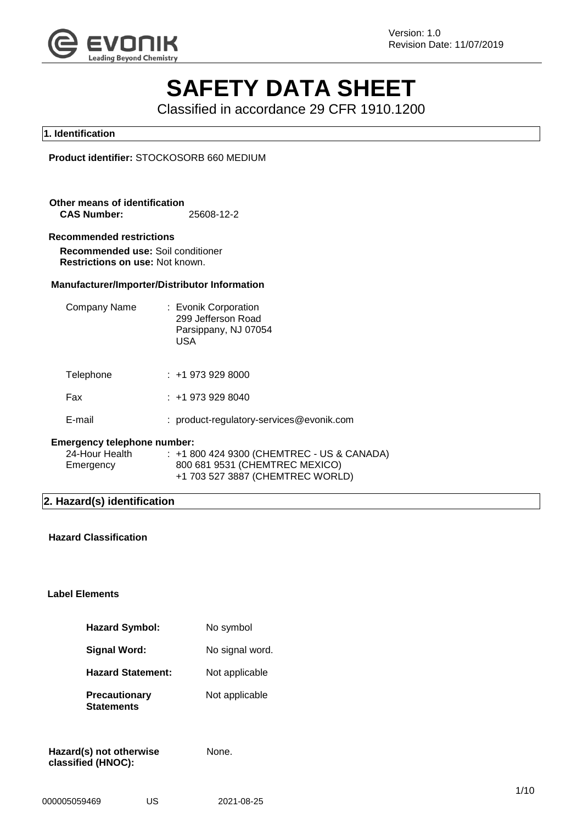

# **SAFETY DATA SHEET**

Classified in accordance 29 CFR 1910.1200

#### **1. Identification**

**Product identifier:** STOCKOSORB 660 MEDIUM

**Other means of identification CAS Number:** 25608-12-2

#### **Recommended restrictions**

**Recommended use:** Soil conditioner **Restrictions on use:** Not known.

#### **Manufacturer/Importer/Distributor Information**

| Company Name                |  | : Evonik Corporation<br>299 Jefferson Road<br>Parsippany, NJ 07054<br><b>USA</b> |  |
|-----------------------------|--|----------------------------------------------------------------------------------|--|
| Telephone                   |  | $: +19739298000$                                                                 |  |
| Fax                         |  | $: +19739298040$                                                                 |  |
| E-mail                      |  | : product-regulatory-services@evonik.com                                         |  |
| Emergency telephone number: |  |                                                                                  |  |

| 24-Hour Health | : +1 800 424 9300 (CHEMTREC - US & CANADA) |
|----------------|--------------------------------------------|
| Emergency      | 800 681 9531 (CHEMTREC MEXICO)             |
|                | +1 703 527 3887 (CHEMTREC WORLD)           |

### **2. Hazard(s) identification**

#### **Hazard Classification**

#### **Label Elements**

| <b>Hazard Symbol:</b>                     | No symbol       |
|-------------------------------------------|-----------------|
| Signal Word:                              | No signal word. |
| <b>Hazard Statement:</b>                  | Not applicable  |
| <b>Precautionary</b><br><b>Statements</b> | Not applicable  |
|                                           |                 |

None.

|                    | Hazard(s) not otherwise |
|--------------------|-------------------------|
| classified (HNOC): |                         |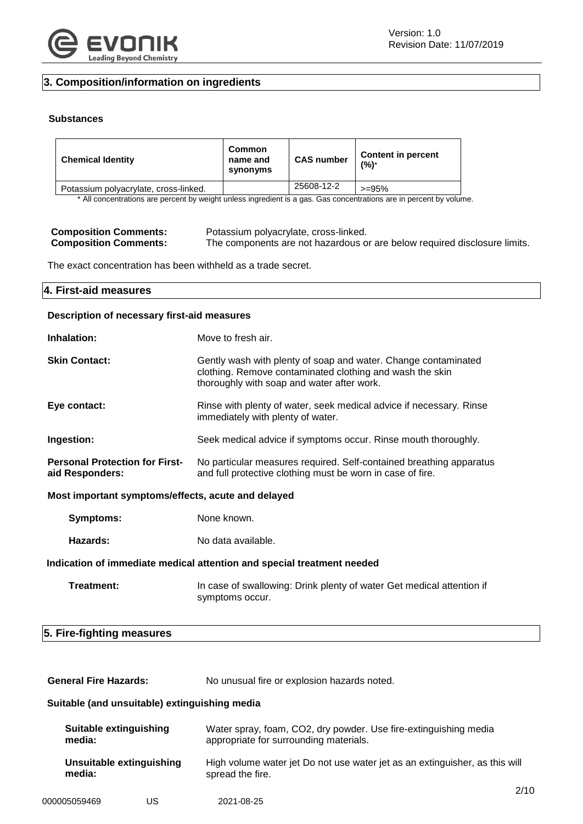

### **3. Composition/information on ingredients**

#### **Substances**

| <b>Chemical Identity</b>              | Common<br>name and<br>synonyms | <b>CAS number</b> | <b>Content in percent</b><br>(%)* |
|---------------------------------------|--------------------------------|-------------------|-----------------------------------|
| Potassium polyacrylate, cross-linked. |                                | 25608-12-2        | $>=95%$                           |

\* All concentrations are percent by weight unless ingredient is a gas. Gas concentrations are in percent by volume.

**Composition Comments:** Potassium polyacrylate, cross-linked.<br> **Composition Comments:** The components are not hazardous o The components are not hazardous or are below required disclosure limits.

The exact concentration has been withheld as a trade secret.

| 4. First-aid measures                                    |                                                                                                                                                                          |  |  |
|----------------------------------------------------------|--------------------------------------------------------------------------------------------------------------------------------------------------------------------------|--|--|
| Description of necessary first-aid measures              |                                                                                                                                                                          |  |  |
| Inhalation:                                              | Move to fresh air.                                                                                                                                                       |  |  |
| <b>Skin Contact:</b>                                     | Gently wash with plenty of soap and water. Change contaminated<br>clothing. Remove contaminated clothing and wash the skin<br>thoroughly with soap and water after work. |  |  |
| Eye contact:                                             | Rinse with plenty of water, seek medical advice if necessary. Rinse<br>immediately with plenty of water.                                                                 |  |  |
| Ingestion:                                               | Seek medical advice if symptoms occur. Rinse mouth thoroughly.                                                                                                           |  |  |
| <b>Personal Protection for First-</b><br>aid Responders: | No particular measures required. Self-contained breathing apparatus<br>and full protective clothing must be worn in case of fire.                                        |  |  |
| Most important symptoms/effects, acute and delayed       |                                                                                                                                                                          |  |  |
| Symptoms:                                                | None known.                                                                                                                                                              |  |  |

## **Indication of immediate medical attention and special treatment needed**

**Hazards:** No data available.

| Treatment: | In case of swallowing: Drink plenty of water Get medical attention if |
|------------|-----------------------------------------------------------------------|
|            | symptoms occur.                                                       |

### **5. Fire-fighting measures**

| <b>General Fire Hazards:</b> | No unusual fire or explosion hazards noted. |
|------------------------------|---------------------------------------------|
|                              |                                             |

#### **Suitable (and unsuitable) extinguishing media**

| Suitable extinguishing<br>media: |                          | Water spray, foam, CO2, dry powder. Use fire-extinguishing media<br>appropriate for surrounding materials. |      |
|----------------------------------|--------------------------|------------------------------------------------------------------------------------------------------------|------|
| media:                           | Unsuitable extinguishing | High volume water jet Do not use water jet as an extinguisher, as this will<br>spread the fire.            |      |
| 000005059469                     | US                       | 2021-08-25                                                                                                 | 2/10 |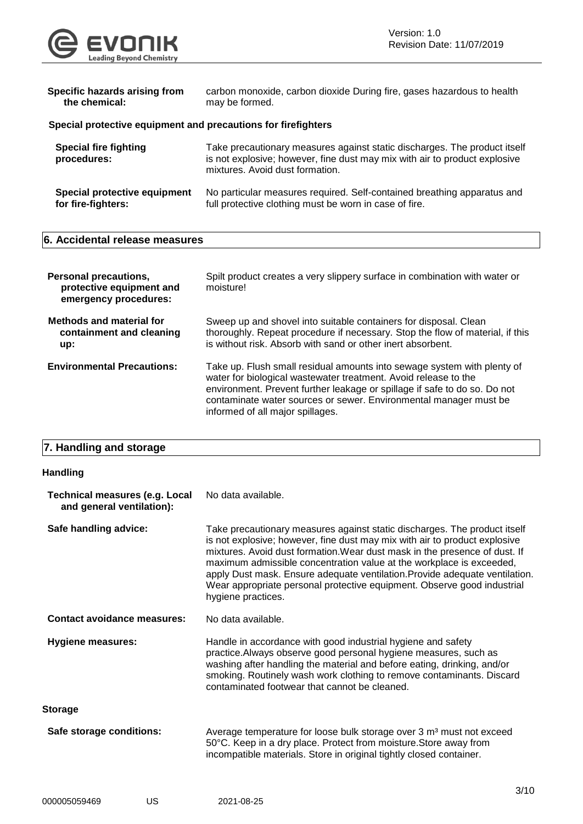

| Specific hazards arising from                                 | carbon monoxide, carbon dioxide During fire, gases hazardous to health                                                                                                                     |
|---------------------------------------------------------------|--------------------------------------------------------------------------------------------------------------------------------------------------------------------------------------------|
| the chemical:                                                 | may be formed.                                                                                                                                                                             |
| Special protective equipment and precautions for firefighters |                                                                                                                                                                                            |
| <b>Special fire fighting</b><br>procedures:                   | Take precautionary measures against static discharges. The product itself<br>is not explosive; however, fine dust may mix with air to product explosive<br>mixtures. Avoid dust formation. |
| Special protective equipment                                  | No particular measures required. Self-contained breathing apparatus and                                                                                                                    |
| for fire-fighters:                                            | full protective clothing must be worn in case of fire.                                                                                                                                     |

### **6. Accidental release measures**

| Personal precautions,<br>protective equipment and<br>emergency procedures: | Spilt product creates a very slippery surface in combination with water or<br>moisture!                                                                                                                                                                                                                                          |
|----------------------------------------------------------------------------|----------------------------------------------------------------------------------------------------------------------------------------------------------------------------------------------------------------------------------------------------------------------------------------------------------------------------------|
| <b>Methods and material for</b><br>containment and cleaning<br>up:         | Sweep up and shovel into suitable containers for disposal. Clean<br>thoroughly. Repeat procedure if necessary. Stop the flow of material, if this<br>is without risk. Absorb with sand or other inert absorbent.                                                                                                                 |
| <b>Environmental Precautions:</b>                                          | Take up. Flush small residual amounts into sewage system with plenty of<br>water for biological wastewater treatment. Avoid release to the<br>environment. Prevent further leakage or spillage if safe to do so. Do not<br>contaminate water sources or sewer. Environmental manager must be<br>informed of all major spillages. |

### **7. Handling and storage**

| <b>Handling</b>                                                    |                                                                                                                                                                                                                                                                                                                                                                                                                                                                                               |
|--------------------------------------------------------------------|-----------------------------------------------------------------------------------------------------------------------------------------------------------------------------------------------------------------------------------------------------------------------------------------------------------------------------------------------------------------------------------------------------------------------------------------------------------------------------------------------|
| <b>Technical measures (e.g. Local</b><br>and general ventilation): | No data available.                                                                                                                                                                                                                                                                                                                                                                                                                                                                            |
| Safe handling advice:                                              | Take precautionary measures against static discharges. The product itself<br>is not explosive; however, fine dust may mix with air to product explosive<br>mixtures. Avoid dust formation. Wear dust mask in the presence of dust. If<br>maximum admissible concentration value at the workplace is exceeded,<br>apply Dust mask. Ensure adequate ventilation. Provide adequate ventilation.<br>Wear appropriate personal protective equipment. Observe good industrial<br>hygiene practices. |
| <b>Contact avoidance measures:</b>                                 | No data available.                                                                                                                                                                                                                                                                                                                                                                                                                                                                            |
| <b>Hygiene measures:</b>                                           | Handle in accordance with good industrial hygiene and safety<br>practice. Always observe good personal hygiene measures, such as<br>washing after handling the material and before eating, drinking, and/or<br>smoking. Routinely wash work clothing to remove contaminants. Discard<br>contaminated footwear that cannot be cleaned.                                                                                                                                                         |
| <b>Storage</b>                                                     |                                                                                                                                                                                                                                                                                                                                                                                                                                                                                               |
| Safe storage conditions:                                           | Average temperature for loose bulk storage over 3 m <sup>3</sup> must not exceed<br>50°C. Keep in a dry place. Protect from moisture. Store away from<br>incompatible materials. Store in original tightly closed container.                                                                                                                                                                                                                                                                  |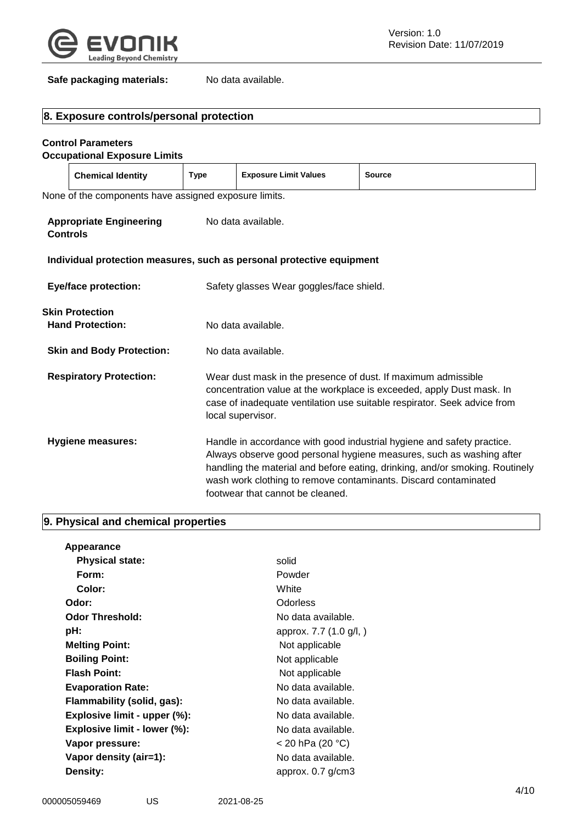

#### Safe packaging materials: No data available.

|                                                   | 8. Exposure controls/personal protection                         |             |                                                                                                                                                                                                                                                                                                                                       |               |  |
|---------------------------------------------------|------------------------------------------------------------------|-------------|---------------------------------------------------------------------------------------------------------------------------------------------------------------------------------------------------------------------------------------------------------------------------------------------------------------------------------------|---------------|--|
|                                                   | <b>Control Parameters</b><br><b>Occupational Exposure Limits</b> |             |                                                                                                                                                                                                                                                                                                                                       |               |  |
|                                                   | <b>Chemical Identity</b>                                         | <b>Type</b> | <b>Exposure Limit Values</b>                                                                                                                                                                                                                                                                                                          | <b>Source</b> |  |
|                                                   | None of the components have assigned exposure limits.            |             |                                                                                                                                                                                                                                                                                                                                       |               |  |
|                                                   | <b>Appropriate Engineering</b><br><b>Controls</b>                |             | No data available.                                                                                                                                                                                                                                                                                                                    |               |  |
|                                                   |                                                                  |             | Individual protection measures, such as personal protective equipment                                                                                                                                                                                                                                                                 |               |  |
| <b>Eye/face protection:</b>                       |                                                                  |             | Safety glasses Wear goggles/face shield.                                                                                                                                                                                                                                                                                              |               |  |
| <b>Skin Protection</b><br><b>Hand Protection:</b> |                                                                  |             | No data available.                                                                                                                                                                                                                                                                                                                    |               |  |
| <b>Skin and Body Protection:</b>                  |                                                                  |             | No data available.                                                                                                                                                                                                                                                                                                                    |               |  |
| <b>Respiratory Protection:</b>                    |                                                                  |             | Wear dust mask in the presence of dust. If maximum admissible<br>concentration value at the workplace is exceeded, apply Dust mask. In<br>case of inadequate ventilation use suitable respirator. Seek advice from<br>local supervisor.                                                                                               |               |  |
| <b>Hygiene measures:</b>                          |                                                                  |             | Handle in accordance with good industrial hygiene and safety practice.<br>Always observe good personal hygiene measures, such as washing after<br>handling the material and before eating, drinking, and/or smoking. Routinely<br>wash work clothing to remove contaminants. Discard contaminated<br>footwear that cannot be cleaned. |               |  |

### **9. Physical and chemical properties**

| Appearance                   |                         |
|------------------------------|-------------------------|
| <b>Physical state:</b>       | solid                   |
| Form:                        | Powder                  |
| Color:                       | White                   |
| Odor:                        | Odorless                |
| <b>Odor Threshold:</b>       | No data available.      |
| pH:                          | approx. 7.7 (1.0 g/l, ) |
| <b>Melting Point:</b>        | Not applicable          |
| <b>Boiling Point:</b>        | Not applicable          |
| <b>Flash Point:</b>          | Not applicable          |
| <b>Evaporation Rate:</b>     | No data available.      |
| Flammability (solid, gas):   | No data available.      |
| Explosive limit - upper (%): | No data available.      |
| Explosive limit - lower (%): | No data available.      |
| Vapor pressure:              | < 20 hPa (20 °C)        |
| Vapor density (air=1):       | No data available.      |
| Density:                     | approx. $0.7$ g/cm $3$  |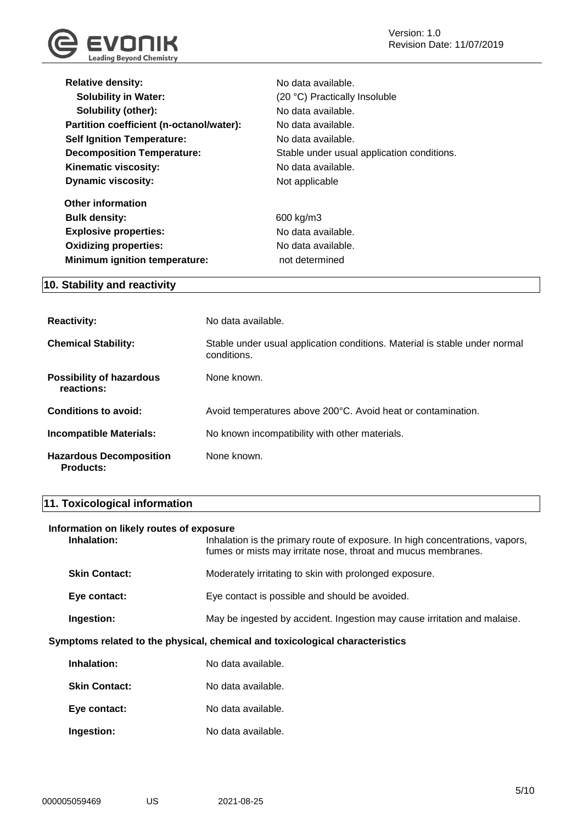

| <b>Relative density:</b>                 | No data available.                         |
|------------------------------------------|--------------------------------------------|
| <b>Solubility in Water:</b>              | (20 °C) Practically Insoluble              |
| <b>Solubility (other):</b>               | No data available.                         |
| Partition coefficient (n-octanol/water): | No data available.                         |
| <b>Self Ignition Temperature:</b>        | No data available.                         |
| <b>Decomposition Temperature:</b>        | Stable under usual application conditions. |
| Kinematic viscosity:                     | No data available.                         |
| <b>Dynamic viscosity:</b>                | Not applicable                             |
| <b>Other information</b>                 |                                            |
| <b>Bulk density:</b>                     | 600 kg/m3                                  |
| <b>Explosive properties:</b>             | No data available.                         |
| <b>Oxidizing properties:</b>             | No data available.                         |
| <b>Minimum ignition temperature:</b>     | not determined                             |

### **10. Stability and reactivity**

| <b>Reactivity:</b>                                 | No data available.                                                                        |
|----------------------------------------------------|-------------------------------------------------------------------------------------------|
| <b>Chemical Stability:</b>                         | Stable under usual application conditions. Material is stable under normal<br>conditions. |
| <b>Possibility of hazardous</b><br>reactions:      | None known.                                                                               |
| Conditions to avoid:                               | Avoid temperatures above 200°C. Avoid heat or contamination.                              |
| <b>Incompatible Materials:</b>                     | No known incompatibility with other materials.                                            |
| <b>Hazardous Decomposition</b><br><b>Products:</b> | None known.                                                                               |

### **11. Toxicological information**

| Information on likely routes of exposure<br>Inhalation:                      | Inhalation is the primary route of exposure. In high concentrations, vapors,<br>fumes or mists may irritate nose, throat and mucus membranes. |  |  |
|------------------------------------------------------------------------------|-----------------------------------------------------------------------------------------------------------------------------------------------|--|--|
| <b>Skin Contact:</b>                                                         | Moderately irritating to skin with prolonged exposure.                                                                                        |  |  |
| Eye contact:                                                                 | Eye contact is possible and should be avoided.                                                                                                |  |  |
| Ingestion:                                                                   | May be ingested by accident. Ingestion may cause irritation and malaise.                                                                      |  |  |
| Symptoms related to the physical, chemical and toxicological characteristics |                                                                                                                                               |  |  |
| Inhalation:                                                                  | No data available.                                                                                                                            |  |  |
| <b>Skin Contact:</b>                                                         | No data available.                                                                                                                            |  |  |
| Eye contact:                                                                 | No data available.                                                                                                                            |  |  |

**Ingestion:** No data available.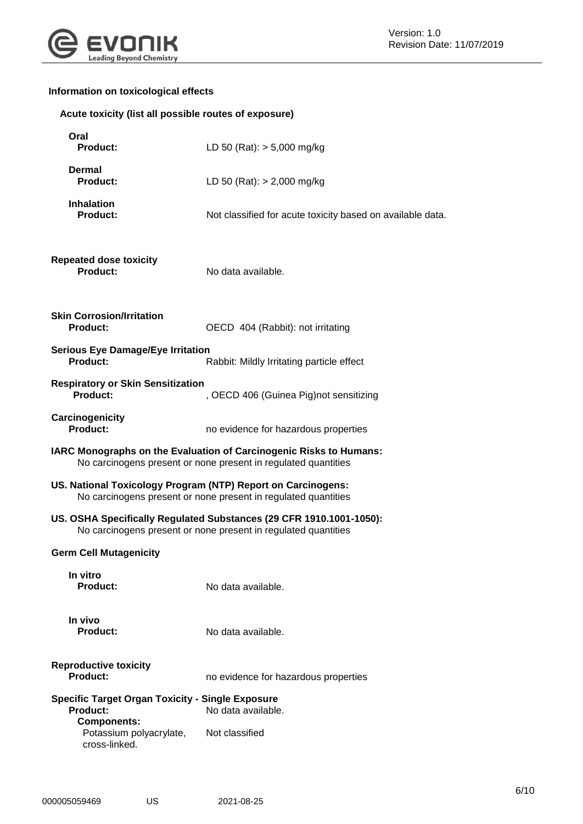

### **Information on toxicological effects**

| Acute toxicity (list all possible routes of exposure)                      |                                                                                                                                       |  |
|----------------------------------------------------------------------------|---------------------------------------------------------------------------------------------------------------------------------------|--|
| Oral<br><b>Product:</b>                                                    | LD 50 (Rat): $> 5,000$ mg/kg                                                                                                          |  |
| <b>Dermal</b><br><b>Product:</b>                                           | LD 50 (Rat): $> 2,000$ mg/kg                                                                                                          |  |
| <b>Inhalation</b><br><b>Product:</b>                                       | Not classified for acute toxicity based on available data.                                                                            |  |
| <b>Repeated dose toxicity</b><br>Product:                                  | No data available.                                                                                                                    |  |
| <b>Skin Corrosion/Irritation</b><br><b>Product:</b>                        | OECD 404 (Rabbit): not irritating                                                                                                     |  |
| <b>Serious Eye Damage/Eye Irritation</b><br>Product:                       | Rabbit: Mildly Irritating particle effect                                                                                             |  |
| <b>Respiratory or Skin Sensitization</b><br>Product:                       | , OECD 406 (Guinea Pig)not sensitizing                                                                                                |  |
| Carcinogenicity<br>Product:                                                | no evidence for hazardous properties                                                                                                  |  |
|                                                                            | IARC Monographs on the Evaluation of Carcinogenic Risks to Humans:<br>No carcinogens present or none present in regulated quantities  |  |
| US. National Toxicology Program (NTP) Report on Carcinogens:               | No carcinogens present or none present in regulated quantities                                                                        |  |
|                                                                            | US. OSHA Specifically Regulated Substances (29 CFR 1910.1001-1050):<br>No carcinogens present or none present in regulated quantities |  |
| <b>Germ Cell Mutagenicity</b>                                              |                                                                                                                                       |  |
| In vitro<br>Product:                                                       | No data available.                                                                                                                    |  |
| In vivo<br>Product:                                                        | No data available.                                                                                                                    |  |
| <b>Reproductive toxicity</b><br><b>Product:</b>                            | no evidence for hazardous properties                                                                                                  |  |
| <b>Specific Target Organ Toxicity - Single Exposure</b><br><b>Product:</b> | No data available.                                                                                                                    |  |
| <b>Components:</b><br>Potassium polyacrylate,<br>cross-linked.             | Not classified                                                                                                                        |  |
|                                                                            |                                                                                                                                       |  |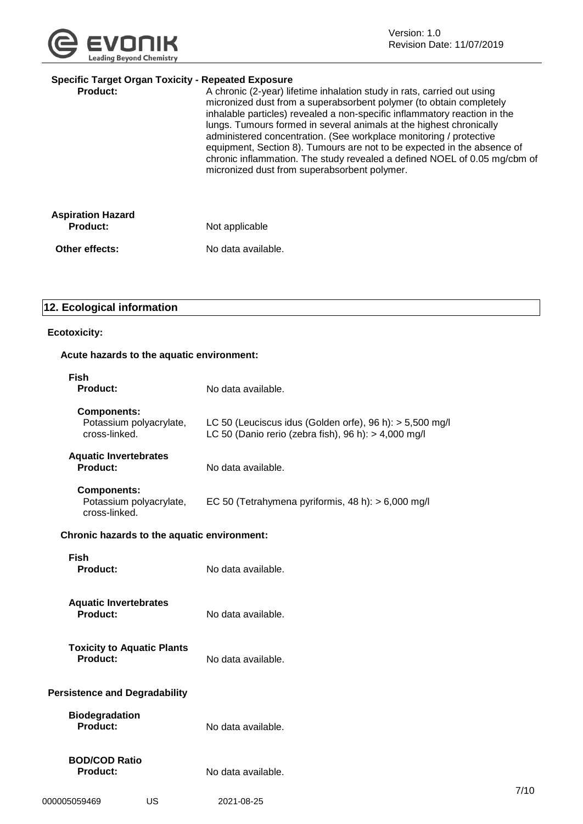

#### **Specific Target Organ Toxicity - Repeated Exposure**

| <b>Product:</b>                             | A chronic (2-year) lifetime inhalation study in rats, carried out using<br>micronized dust from a superabsorbent polymer (to obtain completely<br>inhalable particles) revealed a non-specific inflammatory reaction in the<br>lungs. Tumours formed in several animals at the highest chronically<br>administered concentration. (See workplace monitoring / protective<br>equipment, Section 8). Tumours are not to be expected in the absence of<br>chronic inflammation. The study revealed a defined NOEL of 0.05 mg/cbm of<br>micronized dust from superabsorbent polymer. |
|---------------------------------------------|----------------------------------------------------------------------------------------------------------------------------------------------------------------------------------------------------------------------------------------------------------------------------------------------------------------------------------------------------------------------------------------------------------------------------------------------------------------------------------------------------------------------------------------------------------------------------------|
| <b>Aspiration Hazard</b><br><b>Product:</b> | Not applicable                                                                                                                                                                                                                                                                                                                                                                                                                                                                                                                                                                   |
| <b>Other effects:</b>                       | No data available.                                                                                                                                                                                                                                                                                                                                                                                                                                                                                                                                                               |

### **12. Ecological information**

#### **Ecotoxicity:**

### **Acute hazards to the aquatic environment:**

| <b>Fish</b><br><b>Product:</b>                                 |    | No data available.                                                                                                 |
|----------------------------------------------------------------|----|--------------------------------------------------------------------------------------------------------------------|
| <b>Components:</b><br>Potassium polyacrylate,<br>cross-linked. |    | LC 50 (Leuciscus idus (Golden orfe), 96 h): > 5,500 mg/l<br>LC 50 (Danio rerio (zebra fish), 96 h): $> 4,000$ mg/l |
| <b>Aquatic Invertebrates</b><br>Product:                       |    | No data available.                                                                                                 |
| <b>Components:</b><br>Potassium polyacrylate,<br>cross-linked. |    | EC 50 (Tetrahymena pyriformis, 48 h): > 6,000 mg/l                                                                 |
| Chronic hazards to the aquatic environment:                    |    |                                                                                                                    |
| <b>Fish</b><br>Product:                                        |    | No data available.                                                                                                 |
| <b>Aquatic Invertebrates</b><br><b>Product:</b>                |    | No data available.                                                                                                 |
| <b>Toxicity to Aquatic Plants</b><br>Product:                  |    | No data available.                                                                                                 |
| <b>Persistence and Degradability</b>                           |    |                                                                                                                    |
| <b>Biodegradation</b><br>Product:                              |    | No data available.                                                                                                 |
| <b>BOD/COD Ratio</b><br>Product:                               |    | No data available.                                                                                                 |
| 000005059469                                                   | US | 2021-08-25                                                                                                         |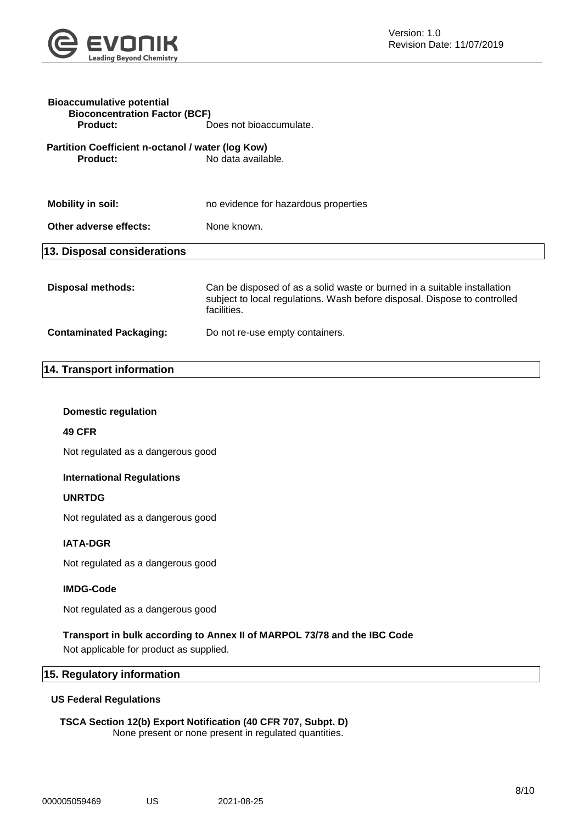

| <b>Bioaccumulative potential</b><br><b>Bioconcentration Factor (BCF)</b><br>Product: | Does not bioaccumulate.                                                                                                                                              |  |  |
|--------------------------------------------------------------------------------------|----------------------------------------------------------------------------------------------------------------------------------------------------------------------|--|--|
| Partition Coefficient n-octanol / water (log Kow)<br><b>Product:</b>                 | No data available.                                                                                                                                                   |  |  |
| <b>Mobility in soil:</b>                                                             | no evidence for hazardous properties                                                                                                                                 |  |  |
| Other adverse effects:<br>None known.                                                |                                                                                                                                                                      |  |  |
| 13. Disposal considerations                                                          |                                                                                                                                                                      |  |  |
| <b>Disposal methods:</b>                                                             | Can be disposed of as a solid waste or burned in a suitable installation<br>subject to local regulations. Wash before disposal. Dispose to controlled<br>facilities. |  |  |
| <b>Contaminated Packaging:</b>                                                       | Do not re-use empty containers.                                                                                                                                      |  |  |

### **14. Transport information**

#### **Domestic regulation**

#### **49 CFR**

Not regulated as a dangerous good

#### **International Regulations**

#### **UNRTDG**

Not regulated as a dangerous good

#### **IATA-DGR**

Not regulated as a dangerous good

#### **IMDG-Code**

Not regulated as a dangerous good

#### **Transport in bulk according to Annex II of MARPOL 73/78 and the IBC Code**

Not applicable for product as supplied.

#### **15. Regulatory information**

#### **US Federal Regulations**

### **TSCA Section 12(b) Export Notification (40 CFR 707, Subpt. D)**

None present or none present in regulated quantities.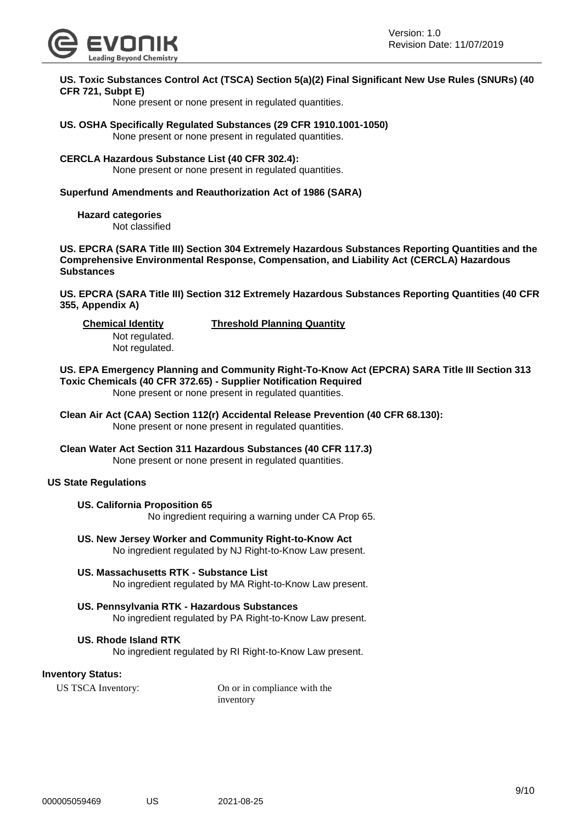

#### **US. Toxic Substances Control Act (TSCA) Section 5(a)(2) Final Significant New Use Rules (SNURs) (40 CFR 721, Subpt E)**

None present or none present in regulated quantities.

#### **US. OSHA Specifically Regulated Substances (29 CFR 1910.1001-1050)** None present or none present in regulated quantities.

#### **CERCLA Hazardous Substance List (40 CFR 302.4):**

None present or none present in regulated quantities.

#### **Superfund Amendments and Reauthorization Act of 1986 (SARA)**

#### **Hazard categories**

Not classified

**US. EPCRA (SARA Title III) Section 304 Extremely Hazardous Substances Reporting Quantities and the Comprehensive Environmental Response, Compensation, and Liability Act (CERCLA) Hazardous Substances**

**US. EPCRA (SARA Title III) Section 312 Extremely Hazardous Substances Reporting Quantities (40 CFR 355, Appendix A)**

Not regulated. Not regulated.

**Chemical Identity Threshold Planning Quantity**

**US. EPA Emergency Planning and Community Right-To-Know Act (EPCRA) SARA Title III Section 313 Toxic Chemicals (40 CFR 372.65) - Supplier Notification Required**

None present or none present in regulated quantities.

**Clean Air Act (CAA) Section 112(r) Accidental Release Prevention (40 CFR 68.130):** None present or none present in regulated quantities.

**Clean Water Act Section 311 Hazardous Substances (40 CFR 117.3)** None present or none present in regulated quantities.

#### **US State Regulations**

#### **US. California Proposition 65**

No ingredient requiring a warning under CA Prop 65.

- **US. New Jersey Worker and Community Right-to-Know Act** No ingredient regulated by NJ Right-to-Know Law present.
- **US. Massachusetts RTK - Substance List** No ingredient regulated by MA Right-to-Know Law present.
- **US. Pennsylvania RTK - Hazardous Substances** No ingredient regulated by PA Right-to-Know Law present.

#### **US. Rhode Island RTK**

No ingredient regulated by RI Right-to-Know Law present.

#### **Inventory Status:**

US TSCA Inventory: On or in compliance with the inventory